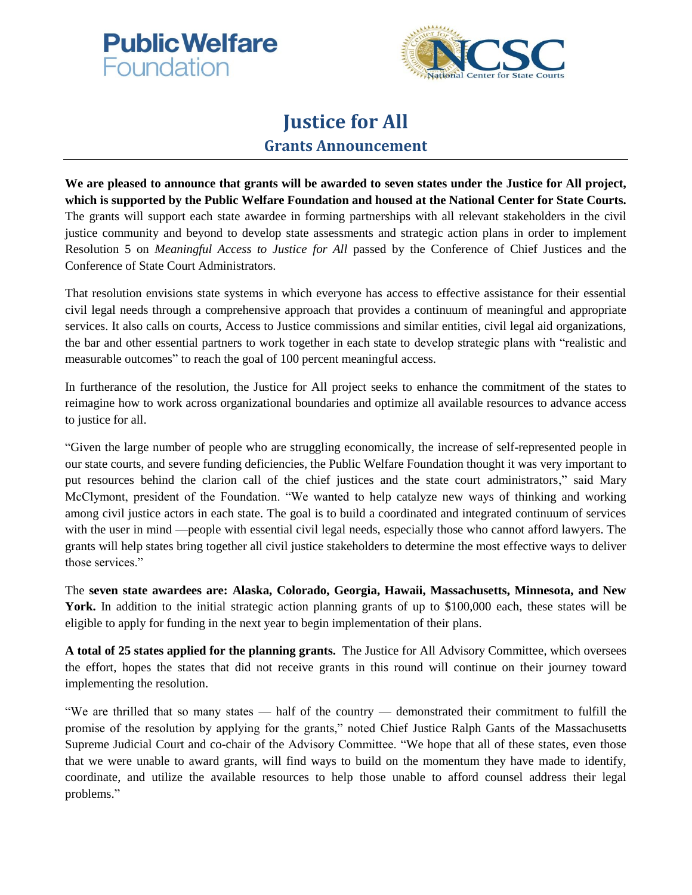



## **Justice for All Grants Announcement**

**We are pleased to announce that grants will be awarded to seven states under the Justice for All project, which is supported by the Public Welfare Foundation and housed at the National Center for State Courts.**  The grants will support each state awardee in forming partnerships with all relevant stakeholders in the civil justice community and beyond to develop state assessments and strategic action plans in order to implement Resolution 5 on *Meaningful Access to Justice for All* passed by the Conference of Chief Justices and the Conference of State Court Administrators.

That resolution envisions state systems in which everyone has access to effective assistance for their essential civil legal needs through a comprehensive approach that provides a continuum of meaningful and appropriate services. It also calls on courts, Access to Justice commissions and similar entities, civil legal aid organizations, the bar and other essential partners to work together in each state to develop strategic plans with "realistic and measurable outcomes" to reach the goal of 100 percent meaningful access.

In furtherance of the resolution, the Justice for All project seeks to enhance the commitment of the states to reimagine how to work across organizational boundaries and optimize all available resources to advance access to justice for all.

"Given the large number of people who are struggling economically, the increase of self-represented people in our state courts, and severe funding deficiencies, the Public Welfare Foundation thought it was very important to put resources behind the clarion call of the chief justices and the state court administrators," said Mary McClymont, president of the Foundation. "We wanted to help catalyze new ways of thinking and working among civil justice actors in each state. The goal is to build a coordinated and integrated continuum of services with the user in mind —people with essential civil legal needs, especially those who cannot afford lawyers. The grants will help states bring together all civil justice stakeholders to determine the most effective ways to deliver those services."

The **seven state awardees are: Alaska, Colorado, Georgia, Hawaii, Massachusetts, Minnesota, and New**  York. In addition to the initial strategic action planning grants of up to \$100,000 each, these states will be eligible to apply for funding in the next year to begin implementation of their plans.

**A total of 25 states applied for the planning grants.** The Justice for All Advisory Committee, which oversees the effort, hopes the states that did not receive grants in this round will continue on their journey toward implementing the resolution.

"We are thrilled that so many states — half of the country — demonstrated their commitment to fulfill the promise of the resolution by applying for the grants," noted Chief Justice Ralph Gants of the Massachusetts Supreme Judicial Court and co-chair of the Advisory Committee. "We hope that all of these states, even those that we were unable to award grants, will find ways to build on the momentum they have made to identify, coordinate, and utilize the available resources to help those unable to afford counsel address their legal problems."